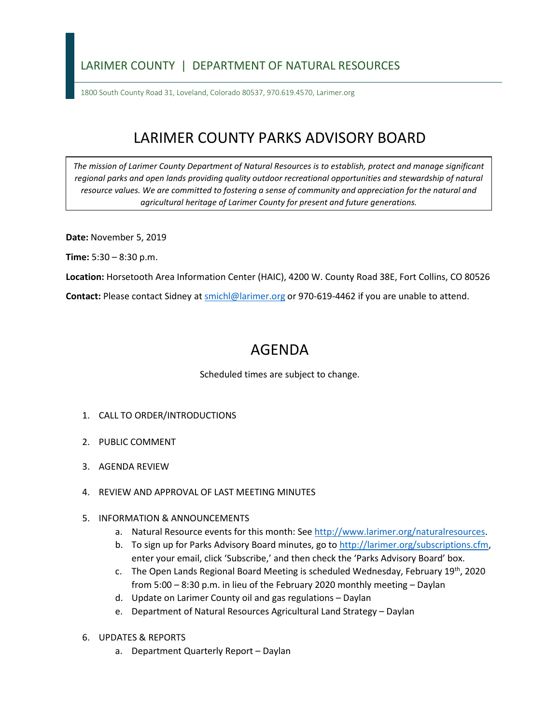## LARIMER COUNTY | DEPARTMENT OF NATURAL RESOURCES

1800 South County Road 31, Loveland, Colorado 80537, 970.619.4570, Larimer.org

## LARIMER COUNTY PARKS ADVISORY BOARD

*The mission of Larimer County Department of Natural Resources is to establish, protect and manage significant*  regional parks and open lands providing quality outdoor recreational opportunities and stewardship of natural *resource values. We are committed to fostering a sense of community and appreciation for the natural and agricultural heritage of Larimer County for present and future generations.* 

**Date:** November 5, 2019

**Time:** 5:30 – 8:30 p.m.

**Location:** Horsetooth Area Information Center (HAIC), 4200 W. County Road 38E, Fort Collins, CO 80526

Contact: Please contact Sidney at **smichl@larimer.org** or 970-619-4462 if you are unable to attend.

## AGENDA

Scheduled times are subject to change.

- 1. CALL TO ORDER/INTRODUCTIONS
- 2. PUBLIC COMMENT
- 3. AGENDA REVIEW
- 4. REVIEW AND APPROVAL OF LAST MEETING MINUTES

## 5. INFORMATION & ANNOUNCEMENTS

- a. Natural Resource events for this month: See [http://www.larimer.org/naturalresources.](http://www.larimer.org/naturalresources)
- b. To sign up for Parks Advisory Board minutes, go to [http://larimer.org/subscriptions.cfm,](http://larimer.org/subscriptions.cfm) enter your email, click 'Subscribe,' and then check the 'Parks Advisory Board' box.
- c. The Open Lands Regional Board Meeting is scheduled Wednesday, February 19th, 2020 from 5:00 – 8:30 p.m. in lieu of the February 2020 monthly meeting – Daylan
- d. Update on Larimer County oil and gas regulations Daylan
- e. Department of Natural Resources Agricultural Land Strategy Daylan
- 6. UPDATES & REPORTS
	- a. Department Quarterly Report Daylan